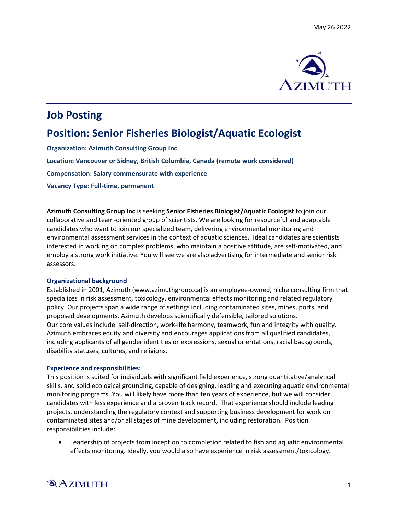

# **Job Posting**

# **Position: Senior Fisheries Biologist/Aquatic Ecologist**

**Organization: Azimuth Consulting Group Inc**

**Location: Vancouver or Sidney, British Columbia, Canada (remote work considered)**

**Compensation: Salary commensurate with experience**

**Vacancy Type: Full-time, permanent**

**Azimuth Consulting Group Inc** is seeking **Senior Fisheries Biologist/Aquatic Ecologist** to join our collaborative and team-oriented group of scientists. We are looking for resourceful and adaptable candidates who want to join our specialized team, delivering environmental monitoring and environmental assessment services in the context of aquatic sciences. Ideal candidates are scientists interested in working on complex problems, who maintain a positive attitude, are self-motivated, and employ a strong work initiative. You will see we are also advertising for intermediate and senior risk assessors.

#### **Organizational background**

Established in 2001, Azimuth (www.azimuthgroup.ca) is an employee-owned, niche consulting firm that specializes in risk assessment, toxicology, environmental effects monitoring and related regulatory policy. Our projects span a wide range of settings including contaminated sites, mines, ports, and proposed developments. Azimuth develops scientifically defensible, tailored solutions. Our core values include: self-direction, work-life harmony, teamwork, fun and integrity with quality. Azimuth embraces equity and diversity and encourages applications from all qualified candidates, including applicants of all gender identities or expressions, sexual orientations, racial backgrounds, disability statuses, cultures, and religions.

#### **Experience and responsibilities:**

This position is suited for individuals with significant field experience, strong quantitative/analytical skills, and solid ecological grounding, capable of designing, leading and executing aquatic environmental monitoring programs. You will likely have more than ten years of experience, but we will consider candidates with less experience and a proven track record. That experience should include leading projects, understanding the regulatory context and supporting business development for work on contaminated sites and/or all stages of mine development, including restoration. Position responsibilities include:

 Leadership of projects from inception to completion related to fish and aquatic environmental effects monitoring. Ideally, you would also have experience in risk assessment/toxicology.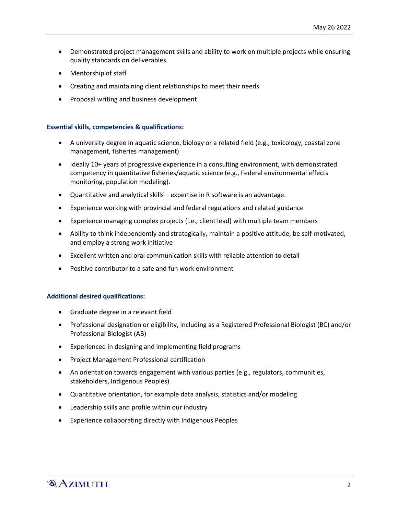- Demonstrated project management skills and ability to work on multiple projects while ensuring quality standards on deliverables.
- Mentorship of staff
- Creating and maintaining client relationships to meet their needs
- Proposal writing and business development

#### **Essential skills, competencies & qualifications:**

- A university degree in aquatic science, biology or a related field (e.g., toxicology, coastal zone management, fisheries management)
- Ideally 10+ years of progressive experience in a consulting environment, with demonstrated competency in quantitative fisheries/aquatic science (e.g., Federal environmental effects monitoring, population modeling).
- Quantitative and analytical skills expertise in R software is an advantage.
- Experience working with provincial and federal regulations and related guidance
- Experience managing complex projects (i.e., client lead) with multiple team members
- Ability to think independently and strategically, maintain a positive attitude, be self-motivated, and employ a strong work initiative
- Excellent written and oral communication skills with reliable attention to detail
- Positive contributor to a safe and fun work environment

#### **Additional desired qualifications:**

- Graduate degree in a relevant field
- Professional designation or eligibility, including as a Registered Professional Biologist (BC) and/or Professional Biologist (AB)
- Experienced in designing and implementing field programs
- Project Management Professional certification
- An orientation towards engagement with various parties (e.g., regulators, communities, stakeholders, Indigenous Peoples)
- Quantitative orientation, for example data analysis, statistics and/or modeling
- Leadership skills and profile within our industry
- Experience collaborating directly with Indigenous Peoples